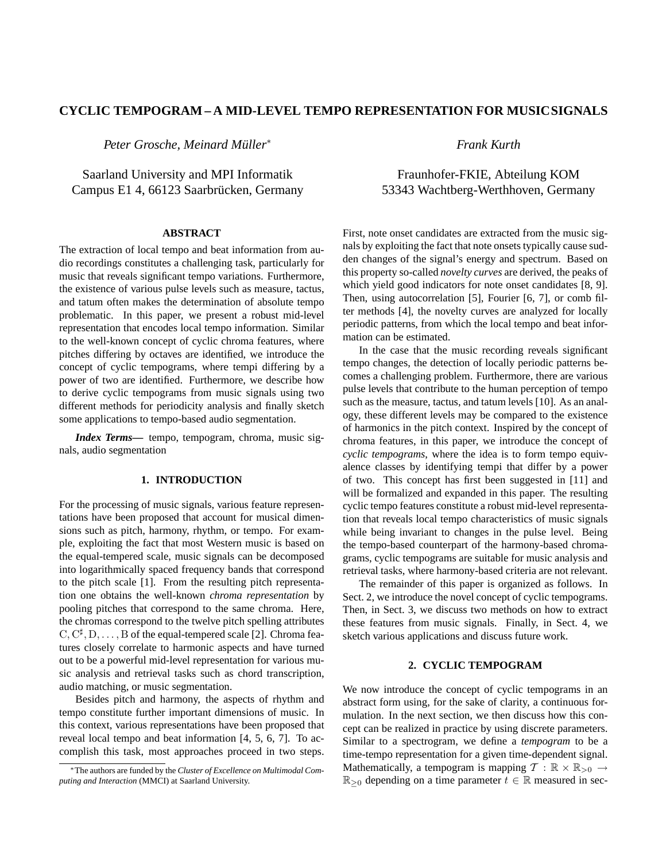# **CYCLIC TEMPOGRAM – A MID-LEVEL TEMPO REPRESENTATION FOR MUSICSIGNALS**

*Peter Grosche, Meinard Muller ¨* ∗

Saarland University and MPI Informatik Campus E1 4, 66123 Saarbrücken, Germany

# **ABSTRACT**

The extraction of local tempo and beat information from audio recordings constitutes a challenging task, particularly for music that reveals significant tempo variations. Furthermore, the existence of various pulse levels such as measure, tactus, and tatum often makes the determination of absolute tempo problematic. In this paper, we present a robust mid-level representation that encodes local tempo information. Similar to the well-known concept of cyclic chroma features, where pitches differing by octaves are identified, we introduce the concept of cyclic tempograms, where tempi differing by a power of two are identified. Furthermore, we describe how to derive cyclic tempograms from music signals using two different methods for periodicity analysis and finally sketch some applications to tempo-based audio segmentation.

*Index Terms***—** tempo, tempogram, chroma, music signals, audio segmentation

### **1. INTRODUCTION**

For the processing of music signals, various feature representations have been proposed that account for musical dimensions such as pitch, harmony, rhythm, or tempo. For example, exploiting the fact that most Western music is based on the equal-tempered scale, music signals can be decomposed into logarithmically spaced frequency bands that correspond to the pitch scale [1]. From the resulting pitch representation one obtains the well-known *chroma representation* by pooling pitches that correspond to the same chroma. Here, the chromas correspond to the twelve pitch spelling attributes  $C, C^{\sharp}, D, \ldots, B$  of the equal-tempered scale [2]. Chroma features closely correlate to harmonic aspects and have turned out to be a powerful mid-level representation for various music analysis and retrieval tasks such as chord transcription, audio matching, or music segmentation.

Besides pitch and harmony, the aspects of rhythm and tempo constitute further important dimensions of music. In this context, various representations have been proposed that reveal local tempo and beat information [4, 5, 6, 7]. To accomplish this task, most approaches proceed in two steps.

*Frank Kurth*

# Fraunhofer-FKIE, Abteilung KOM 53343 Wachtberg-Werthhoven, Germany

First, note onset candidates are extracted from the music signals by exploiting the fact that note onsets typically cause sudden changes of the signal's energy and spectrum. Based on this property so-called *novelty curves* are derived, the peaks of which yield good indicators for note onset candidates [8, 9]. Then, using autocorrelation [5], Fourier [6, 7], or comb filter methods [4], the novelty curves are analyzed for locally periodic patterns, from which the local tempo and beat information can be estimated.

In the case that the music recording reveals significant tempo changes, the detection of locally periodic patterns becomes a challenging problem. Furthermore, there are various pulse levels that contribute to the human perception of tempo such as the measure, tactus, and tatum levels [10]. As an analogy, these different levels may be compared to the existence of harmonics in the pitch context. Inspired by the concept of chroma features, in this paper, we introduce the concept of *cyclic tempograms*, where the idea is to form tempo equivalence classes by identifying tempi that differ by a power of two. This concept has first been suggested in [11] and will be formalized and expanded in this paper. The resulting cyclic tempo features constitute a robust mid-level representation that reveals local tempo characteristics of music signals while being invariant to changes in the pulse level. Being the tempo-based counterpart of the harmony-based chromagrams, cyclic tempograms are suitable for music analysis and retrieval tasks, where harmony-based criteria are not relevant.

The remainder of this paper is organized as follows. In Sect. 2, we introduce the novel concept of cyclic tempograms. Then, in Sect. 3, we discuss two methods on how to extract these features from music signals. Finally, in Sect. 4, we sketch various applications and discuss future work.

## **2. CYCLIC TEMPOGRAM**

We now introduce the concept of cyclic tempograms in an abstract form using, for the sake of clarity, a continuous formulation. In the next section, we then discuss how this concept can be realized in practice by using discrete parameters. Similar to a spectrogram, we define a *tempogram* to be a time-tempo representation for a given time-dependent signal. Mathematically, a tempogram is mapping  $\mathcal{T} : \mathbb{R} \times \mathbb{R}_{>0} \rightarrow$  $\mathbb{R}_{\geq 0}$  depending on a time parameter  $t \in \mathbb{R}$  measured in sec-

<sup>∗</sup>The authors are funded by the *Cluster of Excellence on Multimodal Computing and Interaction* (MMCI) at Saarland University.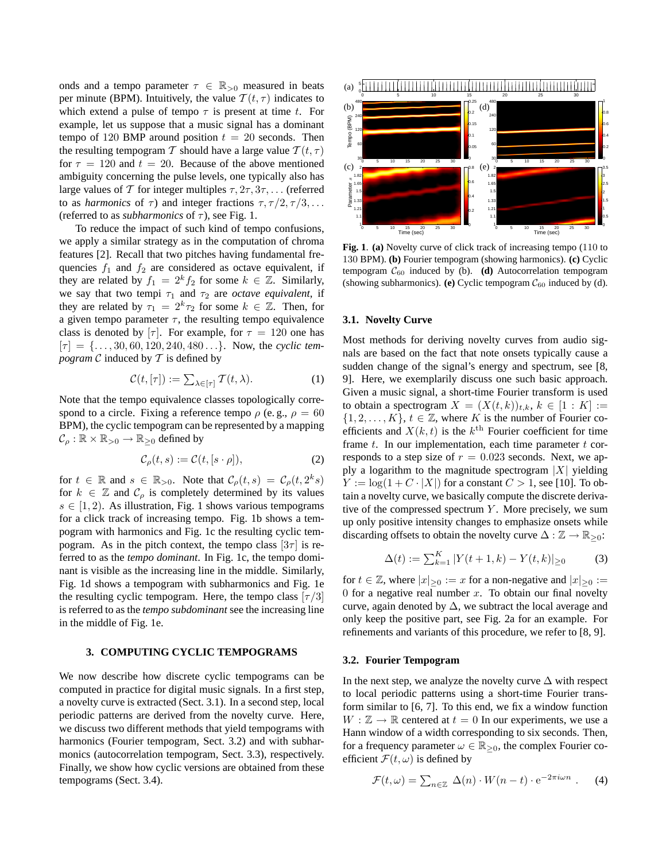onds and a tempo parameter  $\tau \in \mathbb{R}_{>0}$  measured in beats per minute (BPM). Intuitively, the value  $T(t, \tau)$  indicates to which extend a pulse of tempo  $\tau$  is present at time t. For example, let us suppose that a music signal has a dominant tempo of 120 BMP around position  $t = 20$  seconds. Then the resulting tempogram T should have a large value  $T(t, \tau)$ for  $\tau = 120$  and  $t = 20$ . Because of the above mentioned ambiguity concerning the pulse levels, one typically also has large values of T for integer multiples  $\tau$ ,  $2\tau$ ,  $3\tau$ ,... (referred to as *harmonics* of  $\tau$ ) and integer fractions  $\tau$ ,  $\tau/2$ ,  $\tau/3$ , ... (referred to as *subharmonics* of  $\tau$ ), see Fig. 1.

To reduce the impact of such kind of tempo confusions, we apply a similar strategy as in the computation of chroma features [2]. Recall that two pitches having fundamental frequencies  $f_1$  and  $f_2$  are considered as octave equivalent, if they are related by  $f_1 = 2^k f_2$  for some  $k \in \mathbb{Z}$ . Similarly, we say that two tempi  $\tau_1$  and  $\tau_2$  are *octave equivalent*, if they are related by  $\tau_1 = 2^k \tau_2$  for some  $k \in \mathbb{Z}$ . Then, for a given tempo parameter  $\tau$ , the resulting tempo equivalence class is denoted by  $[\tau]$ . For example, for  $\tau = 120$  one has  $[\tau] = \{ \ldots, 30, 60, 120, 240, 480 \ldots \}$ . Now, the *cyclic tempogram*  $C$  induced by  $T$  is defined by

$$
\mathcal{C}(t,[\tau]) := \sum_{\lambda \in [\tau]} \mathcal{T}(t,\lambda). \tag{1}
$$

Note that the tempo equivalence classes topologically correspond to a circle. Fixing a reference tempo  $\rho$  (e.g.,  $\rho = 60$ BPM), the cyclic tempogram can be represented by a mapping  $\mathcal{C}_{\rho} : \mathbb{R} \times \mathbb{R}_{>0} \to \mathbb{R}_{\geq 0}$  defined by

$$
\mathcal{C}_{\rho}(t,s) := \mathcal{C}(t,[s \cdot \rho]),\tag{2}
$$

for  $t \in \mathbb{R}$  and  $s \in \mathbb{R}_{>0}$ . Note that  $\mathcal{C}_{\rho}(t,s) = \mathcal{C}_{\rho}(t, 2^k s)$ for  $k \in \mathbb{Z}$  and  $\mathcal{C}_{\rho}$  is completely determined by its values  $s \in [1, 2)$ . As illustration, Fig. 1 shows various tempograms for a click track of increasing tempo. Fig. 1b shows a tempogram with harmonics and Fig. 1c the resulting cyclic tempogram. As in the pitch context, the tempo class  $[3\tau]$  is referred to as the *tempo dominant*. In Fig. 1c, the tempo dominant is visible as the increasing line in the middle. Similarly, Fig. 1d shows a tempogram with subharmonics and Fig. 1e the resulting cyclic tempogram. Here, the tempo class  $[\tau/3]$ is referred to as the *tempo subdominant* see the increasing line in the middle of Fig. 1e.

# **3. COMPUTING CYCLIC TEMPOGRAMS**

We now describe how discrete cyclic tempograms can be computed in practice for digital music signals. In a first step, a novelty curve is extracted (Sect. 3.1). In a second step, local periodic patterns are derived from the novelty curve. Here, we discuss two different methods that yield tempograms with harmonics (Fourier tempogram, Sect. 3.2) and with subharmonics (autocorrelation tempogram, Sect. 3.3), respectively. Finally, we show how cyclic versions are obtained from these tempograms (Sect. 3.4).



**Fig. 1**. **(a)** Novelty curve of click track of increasing tempo (110 to 130 BPM). **(b)** Fourier tempogram (showing harmonics). **(c)** Cyclic tempogram  $C_{60}$  induced by (b). **(d)** Autocorrelation tempogram (showing subharmonics). **(e)** Cyclic tempogram  $C_{60}$  induced by (d).

#### **3.1. Novelty Curve**

Most methods for deriving novelty curves from audio signals are based on the fact that note onsets typically cause a sudden change of the signal's energy and spectrum, see [8, 9]. Here, we exemplarily discuss one such basic approach. Given a music signal, a short-time Fourier transform is used to obtain a spectrogram  $X = (X(t, k))_{t,k}, k \in [1: K] :=$  $\{1, 2, \ldots, K\}, t \in \mathbb{Z}$ , where K is the number of Fourier coefficients and  $X(k, t)$  is the  $k^{\text{th}}$  Fourier coefficient for time frame  $t$ . In our implementation, each time parameter  $t$  corresponds to a step size of  $r = 0.023$  seconds. Next, we apply a logarithm to the magnitude spectrogram  $|X|$  yielding  $Y := \log(1 + C \cdot |X|)$  for a constant  $C > 1$ , see [10]. To obtain a novelty curve, we basically compute the discrete derivative of the compressed spectrum  $Y$ . More precisely, we sum up only positive intensity changes to emphasize onsets while discarding offsets to obtain the novelty curve  $\Delta : \mathbb{Z} \to \mathbb{R}_{\geq 0}$ :

$$
\Delta(t) := \sum_{k=1}^{K} |Y(t+1, k) - Y(t, k)| \ge 0
$$
 (3)

for  $t \in \mathbb{Z}$ , where  $|x|_{\geq 0} := x$  for a non-negative and  $|x|_{\geq 0} :=$ 0 for a negative real number  $x$ . To obtain our final novelty curve, again denoted by  $\Delta$ , we subtract the local average and only keep the positive part, see Fig. 2a for an example. For refinements and variants of this procedure, we refer to [8, 9].

### **3.2. Fourier Tempogram**

In the next step, we analyze the novelty curve  $\Delta$  with respect to local periodic patterns using a short-time Fourier transform similar to [6, 7]. To this end, we fix a window function  $W : \mathbb{Z} \to \mathbb{R}$  centered at  $t = 0$  In our experiments, we use a Hann window of a width corresponding to six seconds. Then, for a frequency parameter  $\omega \in \mathbb{R}_{\geq 0}$ , the complex Fourier coefficient  $\mathcal{F}(t,\omega)$  is defined by

$$
\mathcal{F}(t,\omega) = \sum_{n \in \mathbb{Z}} \Delta(n) \cdot W(n-t) \cdot e^{-2\pi i \omega n} . \tag{4}
$$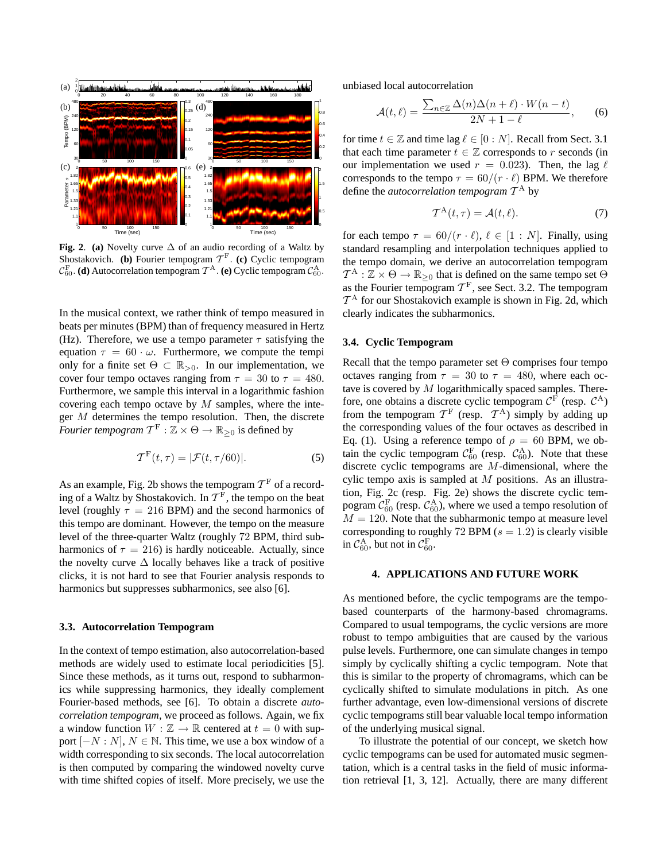

**Fig. 2**. **(a)** Novelty curve ∆ of an audio recording of a Waltz by Shostakovich. **(b)** Fourier tempogram  $T^F$ . **(c)** Cyclic tempogram  $\mathcal{C}_{60}^{\text{F}}$ . **(d)** Autocorrelation tempogram  $\mathcal{T}^{\text{A}}$ . **(e)** Cyclic tempogram  $\mathcal{C}_{60}^{\text{A}}$ .

In the musical context, we rather think of tempo measured in beats per minutes (BPM) than of frequency measured in Hertz (Hz). Therefore, we use a tempo parameter  $\tau$  satisfying the equation  $\tau = 60 \cdot \omega$ . Furthermore, we compute the tempi only for a finite set  $\Theta \subset \mathbb{R}_{>0}$ . In our implementation, we cover four tempo octaves ranging from  $\tau = 30$  to  $\tau = 480$ . Furthermore, we sample this interval in a logarithmic fashion covering each tempo octave by  $M$  samples, where the integer  $M$  determines the tempo resolution. Then, the discrete *Fourier tempogram*  $T^{\text{F}}: \mathbb{Z} \times \Theta \rightarrow \mathbb{R}_{\geq 0}$  is defined by

$$
\mathcal{T}^{\mathcal{F}}(t,\tau) = |\mathcal{F}(t,\tau/60)|. \tag{5}
$$

As an example, Fig. 2b shows the tempogram  $\mathcal{T}^{\mathrm{F}}$  of a recording of a Waltz by Shostakovich. In  $\mathcal{T}^{\rm F}$ , the tempo on the beat level (roughly  $\tau = 216$  BPM) and the second harmonics of this tempo are dominant. However, the tempo on the measure level of the three-quarter Waltz (roughly 72 BPM, third subharmonics of  $\tau = 216$ ) is hardly noticeable. Actually, since the novelty curve  $\Delta$  locally behaves like a track of positive clicks, it is not hard to see that Fourier analysis responds to harmonics but suppresses subharmonics, see also [6].

### **3.3. Autocorrelation Tempogram**

In the context of tempo estimation, also autocorrelation-based methods are widely used to estimate local periodicities [5]. Since these methods, as it turns out, respond to subharmonics while suppressing harmonics, they ideally complement Fourier-based methods, see [6]. To obtain a discrete *autocorrelation tempogram*, we proceed as follows. Again, we fix a window function  $W : \mathbb{Z} \to \mathbb{R}$  centered at  $t = 0$  with support  $[-N : N]$ ,  $N \in \mathbb{N}$ . This time, we use a box window of a width corresponding to six seconds. The local autocorrelation is then computed by comparing the windowed novelty curve with time shifted copies of itself. More precisely, we use the unbiased local autocorrelation

$$
\mathcal{A}(t,\ell) = \frac{\sum_{n\in\mathbb{Z}} \Delta(n)\Delta(n+\ell) \cdot W(n-t)}{2N+1-\ell},\qquad(6)
$$

for time  $t \in \mathbb{Z}$  and time lag  $\ell \in [0:N]$ . Recall from Sect. 3.1 that each time parameter  $t \in \mathbb{Z}$  corresponds to r seconds (in our implementation we used  $r = 0.023$ . Then, the lag  $\ell$ corresponds to the tempo  $\tau = 60/(r \cdot \ell)$  BPM. We therefore define the *autocorrelation tempogram* T <sup>A</sup> by

$$
\mathcal{T}^{\mathcal{A}}(t,\tau) = \mathcal{A}(t,\ell). \tag{7}
$$

for each tempo  $\tau = 60/(r \cdot \ell), \ell \in [1:N]$ . Finally, using standard resampling and interpolation techniques applied to the tempo domain, we derive an autocorrelation tempogram  $T^{\mathcal{A}} : \mathbb{Z} \times \Theta \to \mathbb{R}_{\geq 0}$  that is defined on the same tempo set  $\Theta$ as the Fourier tempogram  $T<sup>F</sup>$ , see Sect. 3.2. The tempogram  $\mathcal{T}^{\text{A}}$  for our Shostakovich example is shown in Fig. 2d, which clearly indicates the subharmonics.

### **3.4. Cyclic Tempogram**

Recall that the tempo parameter set Θ comprises four tempo octaves ranging from  $\tau = 30$  to  $\tau = 480$ , where each octave is covered by  $M$  logarithmically spaced samples. Therefore, one obtains a discrete cyclic tempogram  $C^F$  (resp.  $C^A$ ) from the tempogram  $T^F$  (resp.  $T^A$ ) simply by adding up the corresponding values of the four octaves as described in Eq. (1). Using a reference tempo of  $\rho = 60$  BPM, we obtain the cyclic tempogram  $C_{60}^{\text{F}}$  (resp.  $C_{60}^{\text{A}}$ ). Note that these discrete cyclic tempograms are M-dimensional, where the cylic tempo axis is sampled at  $M$  positions. As an illustration, Fig. 2c (resp. Fig. 2e) shows the discrete cyclic tempogram  $\mathcal{C}_{60}^{\text{F}}$  (resp.  $\mathcal{C}_{60}^{\text{A}}$ ), where we used a tempo resolution of  $M = 120$ . Note that the subharmonic tempo at measure level corresponding to roughly 72 BPM  $(s = 1.2)$  is clearly visible in  $\mathcal{C}_{60}^{\text{A}}$ , but not in  $\mathcal{C}_{60}^{\text{F}}$ .

## **4. APPLICATIONS AND FUTURE WORK**

As mentioned before, the cyclic tempograms are the tempobased counterparts of the harmony-based chromagrams. Compared to usual tempograms, the cyclic versions are more robust to tempo ambiguities that are caused by the various pulse levels. Furthermore, one can simulate changes in tempo simply by cyclically shifting a cyclic tempogram. Note that this is similar to the property of chromagrams, which can be cyclically shifted to simulate modulations in pitch. As one further advantage, even low-dimensional versions of discrete cyclic tempograms still bear valuable local tempo information of the underlying musical signal.

To illustrate the potential of our concept, we sketch how cyclic tempograms can be used for automated music segmentation, which is a central tasks in the field of music information retrieval [1, 3, 12]. Actually, there are many different